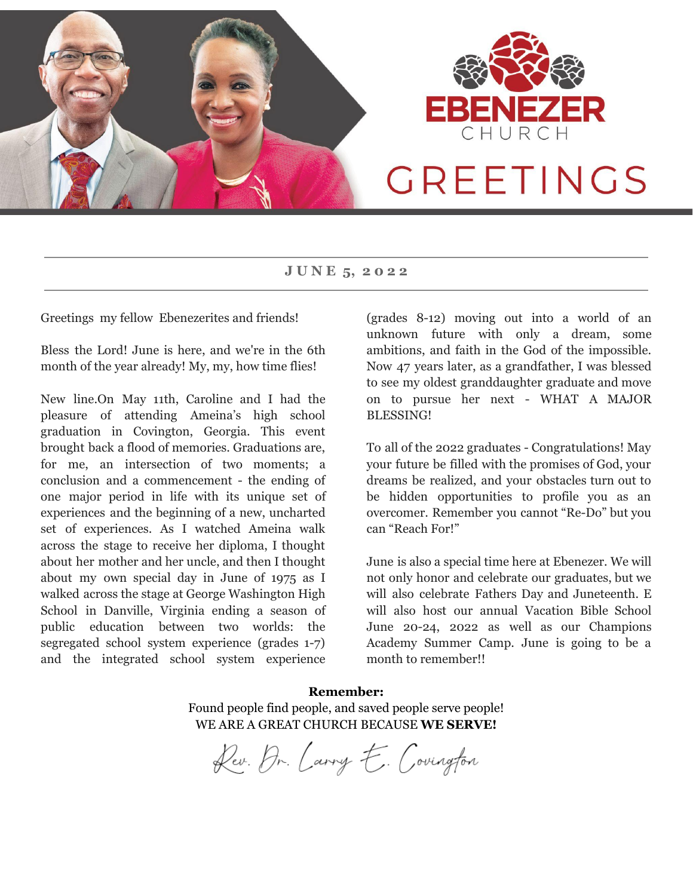

**J U N E 5, 2 0 2 2**

Greetings my fellow Ebenezerites and friends!

Bless the Lord! June is here, and we're in the 6th month of the year already! My, my, how time flies!

New line.On May 11th, Caroline and I had the pleasure of attending Ameina's high school graduation in Covington, Georgia. This event brought back a flood of memories. Graduations are, for me, an intersection of two moments; a conclusion and a commencement - the ending of one major period in life with its unique set of experiences and the beginning of a new, uncharted set of experiences. As I watched Ameina walk across the stage to receive her diploma, I thought about her mother and her uncle, and then I thought about my own special day in June of 1975 as I walked across the stage at George Washington High School in Danville, Virginia ending a season of public education between two worlds: the segregated school system experience (grades 1-7) and the integrated school system experience

(grades 8-12) moving out into a world of an unknown future with only a dream, some ambitions, and faith in the God of the impossible. Now 47 years later, as a grandfather, I was blessed to see my oldest granddaughter graduate and move on to pursue her next - WHAT A MAJOR BLESSING!

To all of the 2022 graduates - Congratulations! May your future be filled with the promises of God, your dreams be realized, and your obstacles turn out to be hidden opportunities to profile you as an overcomer. Remember you cannot "Re-Do" but you can "Reach For!"

June is also a special time here at Ebenezer. We will not only honor and celebrate our graduates, but we will also celebrate Fathers Day and Juneteenth. E will also host our annual Vacation Bible School June 20-24, 2022 as well as our Champions Academy Summer Camp. June is going to be a month to remember!!

**Remember:** Found people find people, and saved people serve people! WE ARE A GREAT CHURCH BECAUSE **WE SERVE!**

Dev. Dr. Carry E. Covington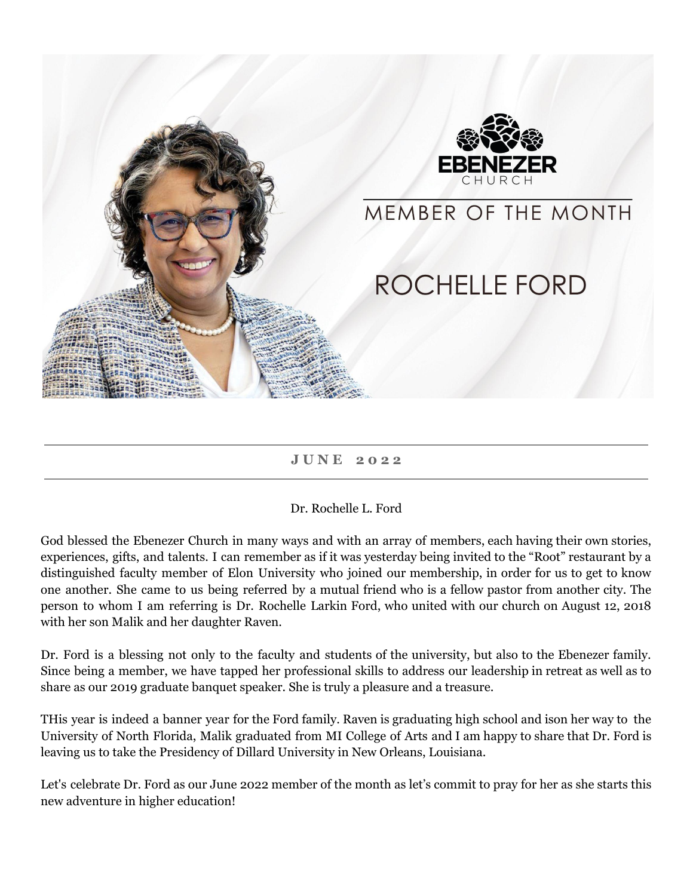

### **J U N E 2 0 2 2**

### Dr. Rochelle L. Ford

God blessed the Ebenezer Church in many ways and with an array of members, each having their own stories, experiences, gifts, and talents. I can remember as if it was yesterday being invited to the "Root" restaurant by a distinguished faculty member of Elon University who joined our membership, in order for us to get to know one another. She came to us being referred by a mutual friend who is a fellow pastor from another city. The person to whom I am referring is Dr. Rochelle Larkin Ford, who united with our church on August 12, 2018 with her son Malik and her daughter Raven.

Dr. Ford is a blessing not only to the faculty and students of the university, but also to the Ebenezer family. Since being a member, we have tapped her professional skills to address our leadership in retreat as well as to share as our 2019 graduate banquet speaker. She is truly a pleasure and a treasure.

THis year is indeed a banner year for the Ford family. Raven is graduating high school and ison her way to the University of North Florida, Malik graduated from MI College of Arts and I am happy to share that Dr. Ford is leaving us to take the Presidency of Dillard University in New Orleans, Louisiana.

Let's celebrate Dr. Ford as our June 2022 member of the month as let's commit to pray for her as she starts this new adventure in higher education!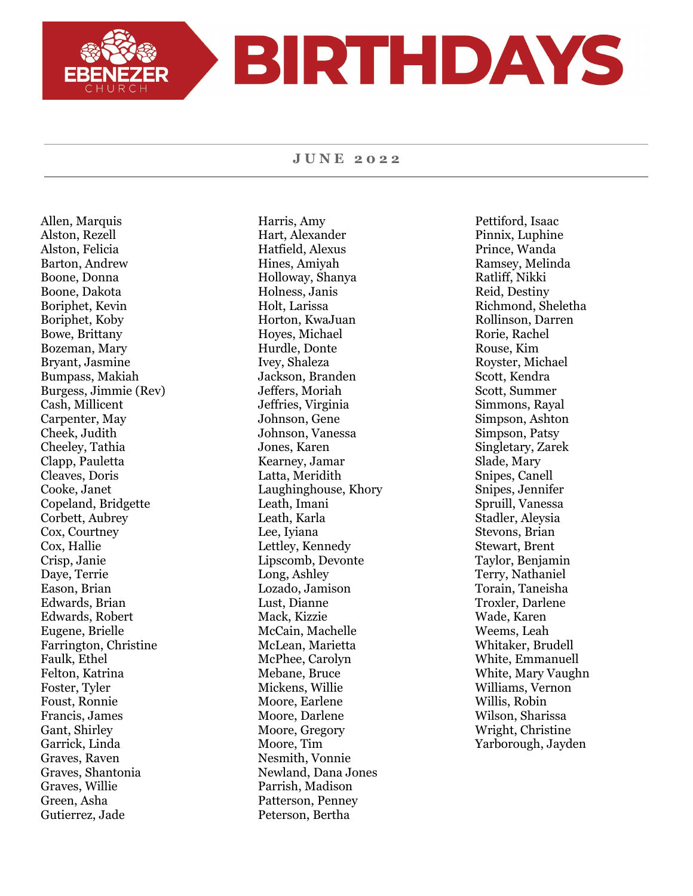# BIRTHDAYS

#### **J U N E 2 0 2 2**

Allen, Marquis Alston, Rezell Alston, Felicia Barton, Andrew Boone, Donna Boone, Dakota Boriphet, Kevin Boriphet, Koby Bowe, Brittany Bozeman, Mary Bryant, Jasmine Bumpass, Makiah Burgess, Jimmie (Rev) Cash, Millicent Carpenter, May Cheek, Judith Cheeley, Tathia Clapp, Pauletta Cleaves, Doris Cooke, Janet Copeland, Bridgette Corbett, Aubrey Cox, Courtney Cox, Hallie Crisp, Janie Daye, Terrie Eason, Brian Edwards, Brian Edwards, Robert Eugene, Brielle Farrington, Christine Faulk, Ethel Felton, Katrina Foster, Tyler Foust, Ronnie Francis, James Gant, Shirley Garrick, Linda Graves, Raven Graves, Shantonia Graves, Willie Green, Asha Gutierrez, Jade

Harris, Amy Hart, Alexander Hatfield, Alexus Hines, Amiyah Holloway, Shanya Holness, Janis Holt, Larissa Horton, KwaJuan Hoyes, Michael Hurdle, Donte Ivey, Shaleza Jackson, Branden Jeffers, Moriah Jeffries, Virginia Johnson, Gene Johnson, Vanessa Jones, Karen Kearney, Jamar Latta, Meridith Laughinghouse, Khory Leath, Imani Leath, Karla Lee, Iyiana Lettley, Kennedy Lipscomb, Devonte Long, Ashley Lozado, Jamison Lust, Dianne Mack, Kizzie McCain, Machelle McLean, Marietta McPhee, Carolyn Mebane, Bruce Mickens, Willie Moore, Earlene Moore, Darlene Moore, Gregory Moore, Tim Nesmith, Vonnie Newland, Dana Jones Parrish, Madison Patterson, Penney Peterson, Bertha

Pettiford, Isaac Pinnix, Luphine Prince, Wanda Ramsey, Melinda Ratliff, Nikki Reid, Destiny Richmond, Sheletha Rollinson, Darren Rorie, Rachel Rouse, Kim Royster, Michael Scott, Kendra Scott, Summer Simmons, Rayal Simpson, Ashton Simpson, Patsy Singletary, Zarek Slade, Mary Snipes, Canell Snipes, Jennifer Spruill, Vanessa Stadler, Aleysia Stevons, Brian Stewart, Brent Taylor, Benjamin Terry, Nathaniel Torain, Taneisha Troxler, Darlene Wade, Karen Weems, Leah Whitaker, Brudell White, Emmanuell White, Mary Vaughn Williams, Vernon Willis, Robin Wilson, Sharissa Wright, Christine Yarborough, Jayden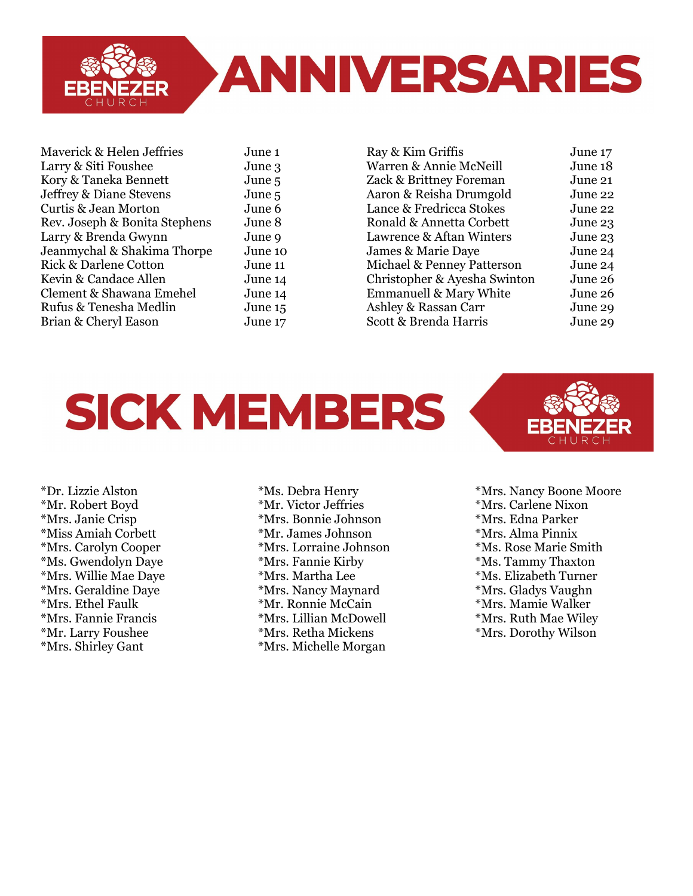

Maverick & Helen Jeffries June 1 Larry & Siti Foushee June 3 Kory & Taneka Bennett June 5 Jeffrey & Diane Stevens June 5 Curtis & Jean Morton June 6 Rev. Joseph & Bonita Stephens June 8 Larry & Brenda Gwynn June 9 Jeanmychal & Shakima Thorpe June 10 Rick & Darlene Cotton June 11 Kevin & Candace Allen June 14 Clement & Shawana Emehel June 14 Rufus & Tenesha Medlin June 15 Brian & Cheryl Eason June 17

Ray & Kim Griffis June 17 Warren & Annie McNeill June 18 Zack & Brittney Foreman June 21 Aaron & Reisha Drumgold June 22 Lance & Fredricca Stokes June 22 Ronald & Annetta Corbett June 23 Lawrence & Aftan Winters June 23 James & Marie Daye June 24 Michael & Penney Patterson June 24 Christopher & Ayesha Swinton June 26 Emmanuell & Mary White June 26 Ashley & Rassan Carr June 29 Scott & Brenda Harris June 29

## **SICK MEMBERS**



\*Dr. Lizzie Alston \*Mr. Robert Boyd \*Mrs. Janie Crisp \*Miss Amiah Corbett \*Mrs. Carolyn Cooper \*Ms. Gwendolyn Daye \*Mrs. Willie Mae Daye \*Mrs. Geraldine Daye \*Mrs. Ethel Faulk \*Mrs. Fannie Francis \*Mr. Larry Foushee \*Mrs. Shirley Gant

\*Ms. Debra Henry \*Mr. Victor Jeffries \*Mrs. Bonnie Johnson \*Mr. James Johnson \*Mrs. Lorraine Johnson \*Mrs. Fannie Kirby \*Mrs. Martha Lee \*Mrs. Nancy Maynard \*Mr. Ronnie McCain \*Mrs. Lillian McDowell \*Mrs. Retha Mickens \*Mrs. Michelle Morgan

\*Mrs. Nancy Boone Moore \*Mrs. Carlene Nixon \*Mrs. Edna Parker \*Mrs. Alma Pinnix \*Ms. Rose Marie Smith \*Ms. Tammy Thaxton \*Ms. Elizabeth Turner \*Mrs. Gladys Vaughn \*Mrs. Mamie Walker \*Mrs. Ruth Mae Wiley \*Mrs. Dorothy Wilson